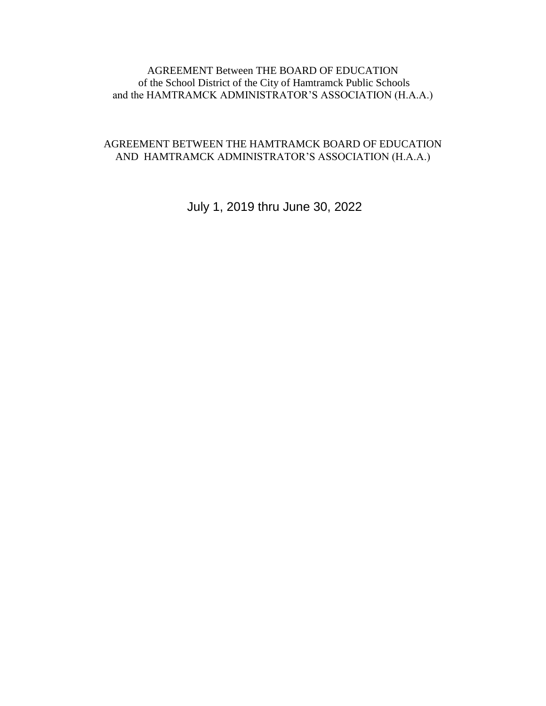#### AGREEMENT Between THE BOARD OF EDUCATION of the School District of the City of Hamtramck Public Schools and the HAMTRAMCK ADMINISTRATOR'S ASSOCIATION (H.A.A.)

#### AGREEMENT BETWEEN THE HAMTRAMCK BOARD OF EDUCATION AND HAMTRAMCK ADMINISTRATOR'S ASSOCIATION (H.A.A.)

July 1, 2019 thru June 30, 2022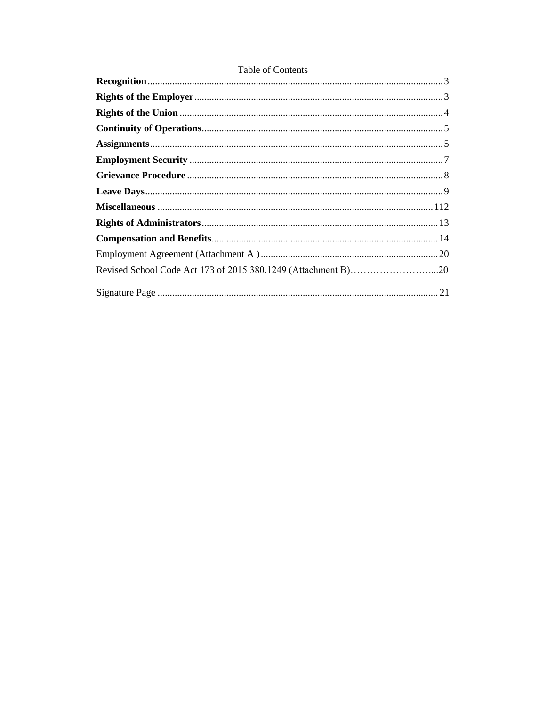#### Table of Contents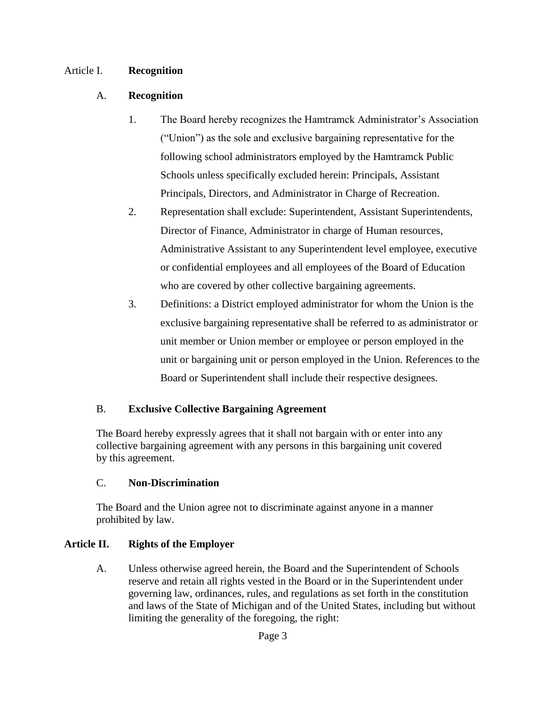#### Article I. **Recognition**

#### A. **Recognition**

- 1. The Board hereby recognizes the Hamtramck Administrator's Association ("Union") as the sole and exclusive bargaining representative for the following school administrators employed by the Hamtramck Public Schools unless specifically excluded herein: Principals, Assistant Principals, Directors, and Administrator in Charge of Recreation.
- 2. Representation shall exclude: Superintendent, Assistant Superintendents, Director of Finance, Administrator in charge of Human resources, Administrative Assistant to any Superintendent level employee, executive or confidential employees and all employees of the Board of Education who are covered by other collective bargaining agreements.
- 3. Definitions: a District employed administrator for whom the Union is the exclusive bargaining representative shall be referred to as administrator or unit member or Union member or employee or person employed in the unit or bargaining unit or person employed in the Union. References to the Board or Superintendent shall include their respective designees.

#### B. **Exclusive Collective Bargaining Agreement**

The Board hereby expressly agrees that it shall not bargain with or enter into any collective bargaining agreement with any persons in this bargaining unit covered by this agreement.

#### C. **Non-Discrimination**

The Board and the Union agree not to discriminate against anyone in a manner prohibited by law.

#### **Article II. Rights of the Employer**

A. Unless otherwise agreed herein, the Board and the Superintendent of Schools reserve and retain all rights vested in the Board or in the Superintendent under governing law, ordinances, rules, and regulations as set forth in the constitution and laws of the State of Michigan and of the United States, including but without limiting the generality of the foregoing, the right: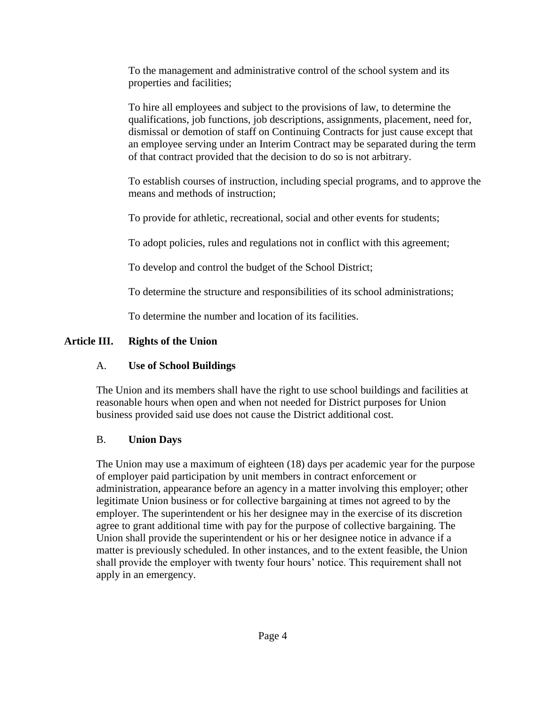To the management and administrative control of the school system and its properties and facilities;

To hire all employees and subject to the provisions of law, to determine the qualifications, job functions, job descriptions, assignments, placement, need for, dismissal or demotion of staff on Continuing Contracts for just cause except that an employee serving under an Interim Contract may be separated during the term of that contract provided that the decision to do so is not arbitrary.

To establish courses of instruction, including special programs, and to approve the means and methods of instruction;

To provide for athletic, recreational, social and other events for students;

To adopt policies, rules and regulations not in conflict with this agreement;

To develop and control the budget of the School District;

To determine the structure and responsibilities of its school administrations;

To determine the number and location of its facilities.

# **Article III. Rights of the Union**

# A. **Use of School Buildings**

The Union and its members shall have the right to use school buildings and facilities at reasonable hours when open and when not needed for District purposes for Union business provided said use does not cause the District additional cost.

# B. **Union Days**

The Union may use a maximum of eighteen (18) days per academic year for the purpose of employer paid participation by unit members in contract enforcement or administration, appearance before an agency in a matter involving this employer; other legitimate Union business or for collective bargaining at times not agreed to by the employer. The superintendent or his her designee may in the exercise of its discretion agree to grant additional time with pay for the purpose of collective bargaining. The Union shall provide the superintendent or his or her designee notice in advance if a matter is previously scheduled. In other instances, and to the extent feasible, the Union shall provide the employer with twenty four hours' notice. This requirement shall not apply in an emergency.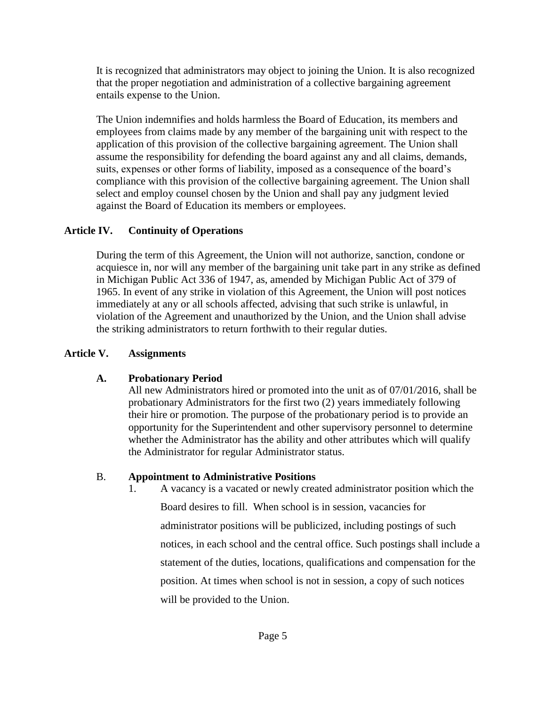It is recognized that administrators may object to joining the Union. It is also recognized that the proper negotiation and administration of a collective bargaining agreement entails expense to the Union.

The Union indemnifies and holds harmless the Board of Education, its members and employees from claims made by any member of the bargaining unit with respect to the application of this provision of the collective bargaining agreement. The Union shall assume the responsibility for defending the board against any and all claims, demands, suits, expenses or other forms of liability, imposed as a consequence of the board's compliance with this provision of the collective bargaining agreement. The Union shall select and employ counsel chosen by the Union and shall pay any judgment levied against the Board of Education its members or employees.

### **Article IV. Continuity of Operations**

During the term of this Agreement, the Union will not authorize, sanction, condone or acquiesce in, nor will any member of the bargaining unit take part in any strike as defined in Michigan Public Act 336 of 1947, as, amended by Michigan Public Act of 379 of 1965. In event of any strike in violation of this Agreement, the Union will post notices immediately at any or all schools affected, advising that such strike is unlawful, in violation of the Agreement and unauthorized by the Union, and the Union shall advise the striking administrators to return forthwith to their regular duties.

#### **Article V. Assignments**

## **A. Probationary Period**

All new Administrators hired or promoted into the unit as of 07/01/2016, shall be probationary Administrators for the first two (2) years immediately following their hire or promotion. The purpose of the probationary period is to provide an opportunity for the Superintendent and other supervisory personnel to determine whether the Administrator has the ability and other attributes which will qualify the Administrator for regular Administrator status.

#### B. **Appointment to Administrative Positions**

1. A vacancy is a vacated or newly created administrator position which the Board desires to fill. When school is in session, vacancies for administrator positions will be publicized, including postings of such notices, in each school and the central office. Such postings shall include a statement of the duties, locations, qualifications and compensation for the position. At times when school is not in session, a copy of such notices will be provided to the Union.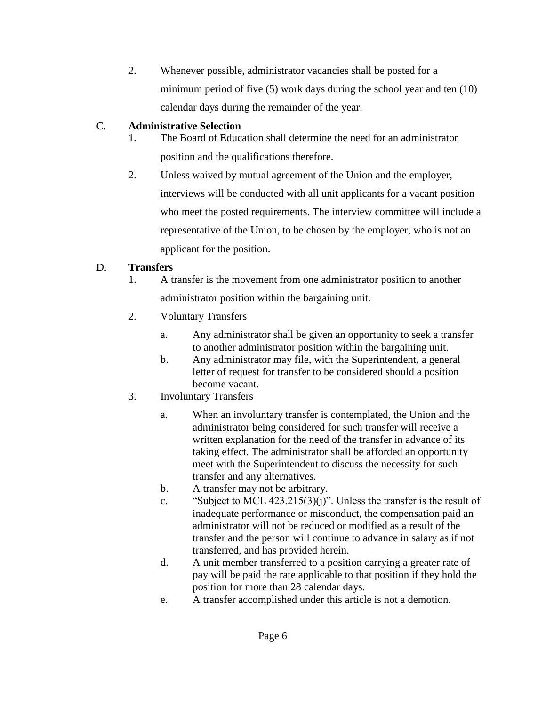2. Whenever possible, administrator vacancies shall be posted for a minimum period of five (5) work days during the school year and ten (10) calendar days during the remainder of the year.

### C. **Administrative Selection**

- 1. The Board of Education shall determine the need for an administrator position and the qualifications therefore.
- 2. Unless waived by mutual agreement of the Union and the employer, interviews will be conducted with all unit applicants for a vacant position who meet the posted requirements. The interview committee will include a representative of the Union, to be chosen by the employer, who is not an applicant for the position.

## D. **Transfers**

- 1. A transfer is the movement from one administrator position to another administrator position within the bargaining unit.
- 2. Voluntary Transfers
	- a. Any administrator shall be given an opportunity to seek a transfer to another administrator position within the bargaining unit.
	- b. Any administrator may file, with the Superintendent, a general letter of request for transfer to be considered should a position become vacant.
- 3. Involuntary Transfers
	- a. When an involuntary transfer is contemplated, the Union and the administrator being considered for such transfer will receive a written explanation for the need of the transfer in advance of its taking effect. The administrator shall be afforded an opportunity meet with the Superintendent to discuss the necessity for such transfer and any alternatives.
	- b. A transfer may not be arbitrary.
	- c. "Subject to MCL  $423.215(3)(i)$ ". Unless the transfer is the result of inadequate performance or misconduct, the compensation paid an administrator will not be reduced or modified as a result of the transfer and the person will continue to advance in salary as if not transferred, and has provided herein.
	- d. A unit member transferred to a position carrying a greater rate of pay will be paid the rate applicable to that position if they hold the position for more than 28 calendar days.
	- e. A transfer accomplished under this article is not a demotion.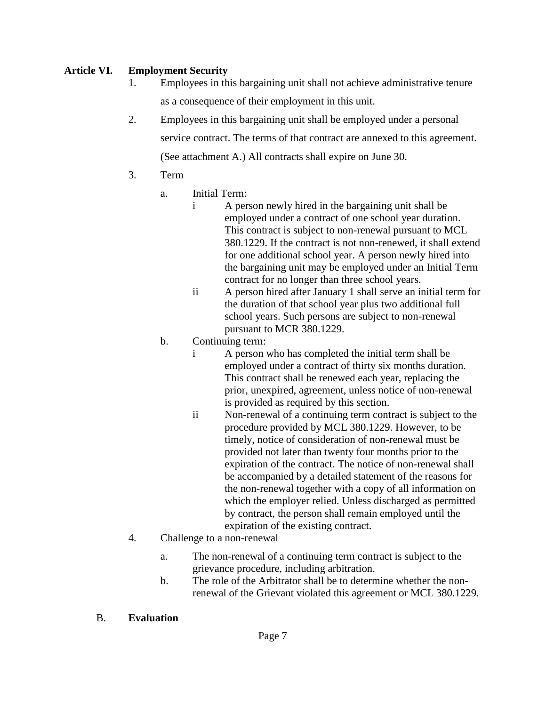#### **Article VI. Employment Security**

- 1. Employees in this bargaining unit shall not achieve administrative tenure as a consequence of their employment in this unit.
- 2. Employees in this bargaining unit shall be employed under a personal service contract. The terms of that contract are annexed to this agreement. (See attachment A.) All contracts shall expire on June 30.
- 3. Term
	- a. Initial Term:
		- i A person newly hired in the bargaining unit shall be employed under a contract of one school year duration. This contract is subject to non-renewal pursuant to MCL 380.1229. If the contract is not non-renewed, it shall extend for one additional school year. A person newly hired into the bargaining unit may be employed under an Initial Term contract for no longer than three school years.
		- ii A person hired after January 1 shall serve an initial term for the duration of that school year plus two additional full school years. Such persons are subject to non-renewal pursuant to MCR 380.1229.
	- b. Continuing term:
		- i A person who has completed the initial term shall be employed under a contract of thirty six months duration. This contract shall be renewed each year, replacing the prior, unexpired, agreement, unless notice of non-renewal is provided as required by this section.
		- ii Non-renewal of a continuing term contract is subject to the procedure provided by MCL 380.1229. However, to be timely, notice of consideration of non-renewal must be provided not later than twenty four months prior to the expiration of the contract. The notice of non-renewal shall be accompanied by a detailed statement of the reasons for the non-renewal together with a copy of all information on which the employer relied. Unless discharged as permitted by contract, the person shall remain employed until the expiration of the existing contract.
- 4. Challenge to a non-renewal
	- a. The non-renewal of a continuing term contract is subject to the grievance procedure, including arbitration.
	- b. The role of the Arbitrator shall be to determine whether the nonrenewal of the Grievant violated this agreement or MCL 380.1229.
- B. **Evaluation**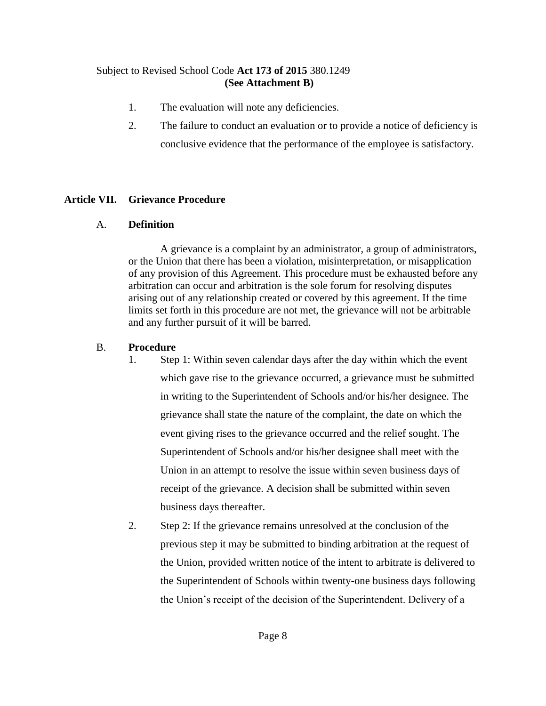#### Subject to Revised School Code **Act 173 of 2015** 380.1249 **(See Attachment B)**

- 1. The evaluation will note any deficiencies.
- 2. The failure to conduct an evaluation or to provide a notice of deficiency is conclusive evidence that the performance of the employee is satisfactory.

#### **Article VII. Grievance Procedure**

#### A. **Definition**

A grievance is a complaint by an administrator, a group of administrators, or the Union that there has been a violation, misinterpretation, or misapplication of any provision of this Agreement. This procedure must be exhausted before any arbitration can occur and arbitration is the sole forum for resolving disputes arising out of any relationship created or covered by this agreement. If the time limits set forth in this procedure are not met, the grievance will not be arbitrable and any further pursuit of it will be barred.

#### B. **Procedure**

- 1. Step 1: Within seven calendar days after the day within which the event which gave rise to the grievance occurred, a grievance must be submitted in writing to the Superintendent of Schools and/or his/her designee. The grievance shall state the nature of the complaint, the date on which the event giving rises to the grievance occurred and the relief sought. The Superintendent of Schools and/or his/her designee shall meet with the Union in an attempt to resolve the issue within seven business days of receipt of the grievance. A decision shall be submitted within seven business days thereafter.
- 2. Step 2: If the grievance remains unresolved at the conclusion of the previous step it may be submitted to binding arbitration at the request of the Union, provided written notice of the intent to arbitrate is delivered to the Superintendent of Schools within twenty-one business days following the Union's receipt of the decision of the Superintendent. Delivery of a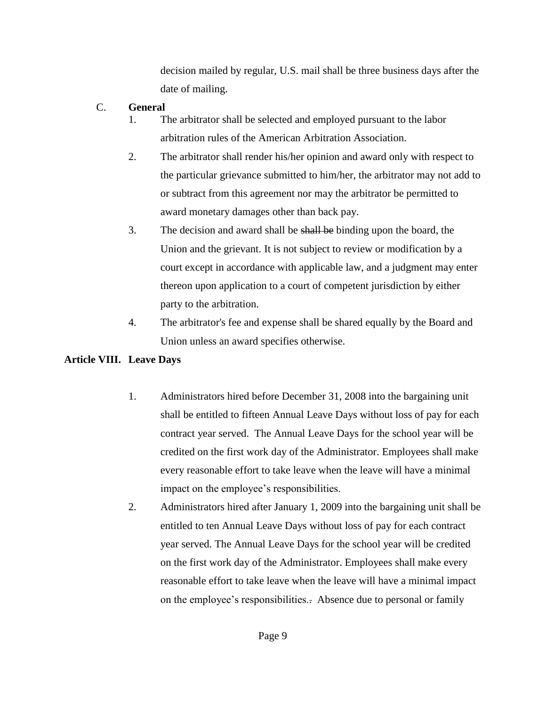decision mailed by regular, U.S. mail shall be three business days after the date of mailing.

- C. **General**
	- 1. The arbitrator shall be selected and employed pursuant to the labor arbitration rules of the American Arbitration Association.
	- 2. The arbitrator shall render his/her opinion and award only with respect to the particular grievance submitted to him/her, the arbitrator may not add to or subtract from this agreement nor may the arbitrator be permitted to award monetary damages other than back pay.
	- 3. The decision and award shall be shall be binding upon the board, the Union and the grievant. It is not subject to review or modification by a court except in accordance with applicable law, and a judgment may enter thereon upon application to a court of competent jurisdiction by either party to the arbitration.
	- 4. The arbitrator's fee and expense shall be shared equally by the Board and Union unless an award specifies otherwise.

#### **Article VIII. Leave Days**

- 1. Administrators hired before December 31, 2008 into the bargaining unit shall be entitled to fifteen Annual Leave Days without loss of pay for each contract year served. The Annual Leave Days for the school year will be credited on the first work day of the Administrator. Employees shall make every reasonable effort to take leave when the leave will have a minimal impact on the employee's responsibilities.
- 2. Administrators hired after January 1, 2009 into the bargaining unit shall be entitled to ten Annual Leave Days without loss of pay for each contract year served. The Annual Leave Days for the school year will be credited on the first work day of the Administrator. Employees shall make every reasonable effort to take leave when the leave will have a minimal impact on the employee's responsibilities.. Absence due to personal or family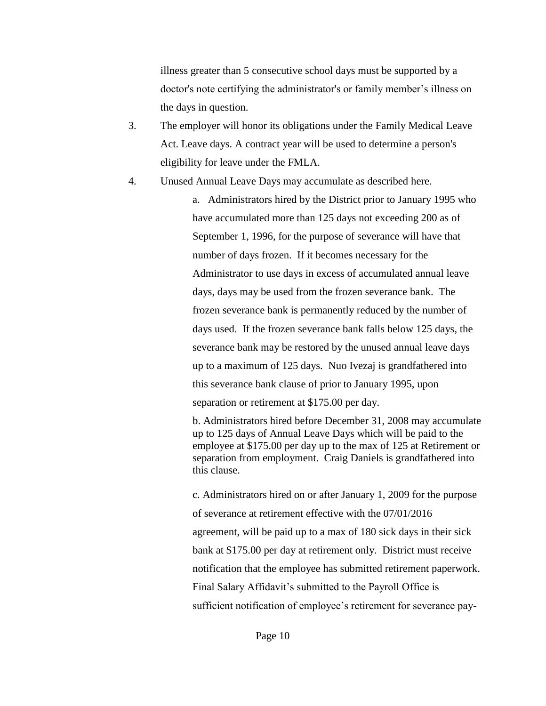illness greater than 5 consecutive school days must be supported by a doctor's note certifying the administrator's or family member's illness on the days in question.

- 3. The employer will honor its obligations under the Family Medical Leave Act. Leave days. A contract year will be used to determine a person's eligibility for leave under the FMLA.
- 4. Unused Annual Leave Days may accumulate as described here.

a. Administrators hired by the District prior to January 1995 who have accumulated more than 125 days not exceeding 200 as of September 1, 1996, for the purpose of severance will have that number of days frozen. If it becomes necessary for the Administrator to use days in excess of accumulated annual leave days, days may be used from the frozen severance bank. The frozen severance bank is permanently reduced by the number of days used. If the frozen severance bank falls below 125 days, the severance bank may be restored by the unused annual leave days up to a maximum of 125 days. Nuo Ivezaj is grandfathered into this severance bank clause of prior to January 1995, upon separation or retirement at \$175.00 per day.

b. Administrators hired before December 31, 2008 may accumulate up to 125 days of Annual Leave Days which will be paid to the employee at \$175.00 per day up to the max of 125 at Retirement or separation from employment. Craig Daniels is grandfathered into this clause.

c. Administrators hired on or after January 1, 2009 for the purpose of severance at retirement effective with the 07/01/2016 agreement, will be paid up to a max of 180 sick days in their sick bank at \$175.00 per day at retirement only. District must receive notification that the employee has submitted retirement paperwork. Final Salary Affidavit's submitted to the Payroll Office is sufficient notification of employee's retirement for severance pay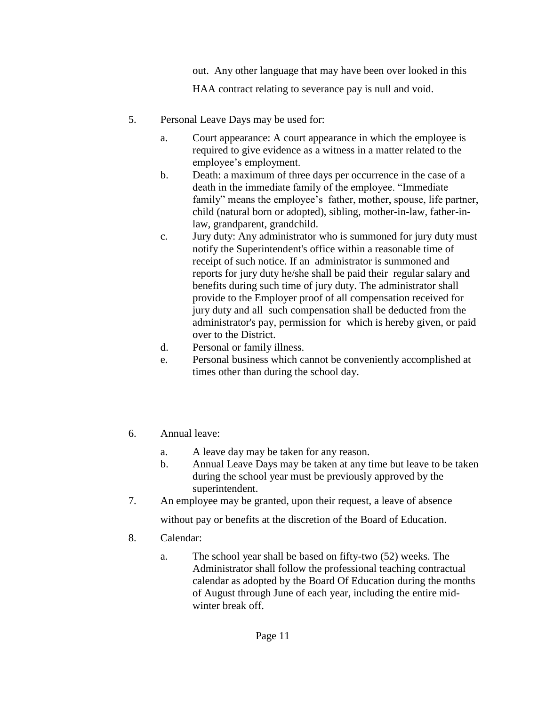out. Any other language that may have been over looked in this

HAA contract relating to severance pay is null and void.

- 5. Personal Leave Days may be used for:
	- a. Court appearance: A court appearance in which the employee is required to give evidence as a witness in a matter related to the employee's employment.
	- b. Death: a maximum of three days per occurrence in the case of a death in the immediate family of the employee. "Immediate family" means the employee's father, mother, spouse, life partner, child (natural born or adopted), sibling, mother-in-law, father-inlaw, grandparent, grandchild.
	- c. Jury duty: Any administrator who is summoned for jury duty must notify the Superintendent's office within a reasonable time of receipt of such notice. If an administrator is summoned and reports for jury duty he/she shall be paid their regular salary and benefits during such time of jury duty. The administrator shall provide to the Employer proof of all compensation received for jury duty and all such compensation shall be deducted from the administrator's pay, permission for which is hereby given, or paid over to the District.
	- d. Personal or family illness.
	- e. Personal business which cannot be conveniently accomplished at times other than during the school day.
- 6. Annual leave:
	- a. A leave day may be taken for any reason.
	- b. Annual Leave Days may be taken at any time but leave to be taken during the school year must be previously approved by the superintendent.
- 7. An employee may be granted, upon their request, a leave of absence without pay or benefits at the discretion of the Board of Education.
- 8. Calendar:
	- a. The school year shall be based on fifty-two (52) weeks. The Administrator shall follow the professional teaching contractual calendar as adopted by the Board Of Education during the months of August through June of each year, including the entire midwinter break off.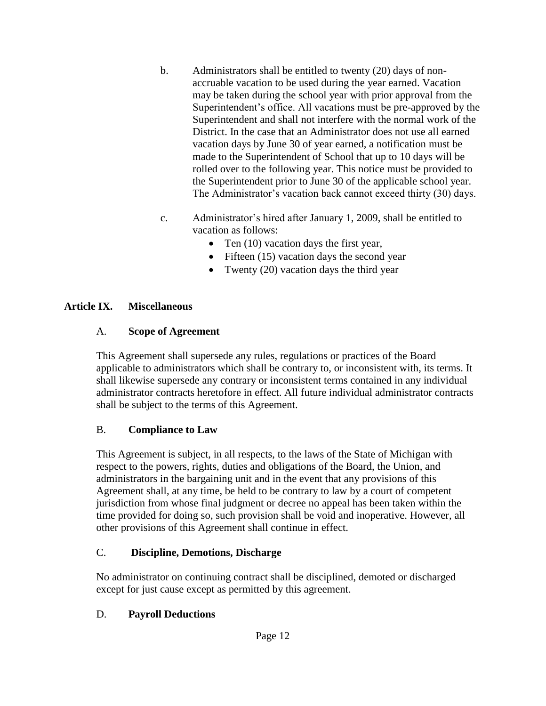- b. Administrators shall be entitled to twenty (20) days of nonaccruable vacation to be used during the year earned. Vacation may be taken during the school year with prior approval from the Superintendent's office. All vacations must be pre-approved by the Superintendent and shall not interfere with the normal work of the District. In the case that an Administrator does not use all earned vacation days by June 30 of year earned, a notification must be made to the Superintendent of School that up to 10 days will be rolled over to the following year. This notice must be provided to the Superintendent prior to June 30 of the applicable school year. The Administrator's vacation back cannot exceed thirty (30) days.
- c. Administrator's hired after January 1, 2009, shall be entitled to vacation as follows:
	- Ten (10) vacation days the first year,
	- Fifteen (15) vacation days the second year
	- Twenty (20) vacation days the third year

### **Article IX. Miscellaneous**

### A. **Scope of Agreement**

This Agreement shall supersede any rules, regulations or practices of the Board applicable to administrators which shall be contrary to, or inconsistent with, its terms. It shall likewise supersede any contrary or inconsistent terms contained in any individual administrator contracts heretofore in effect. All future individual administrator contracts shall be subject to the terms of this Agreement.

## B. **Compliance to Law**

This Agreement is subject, in all respects, to the laws of the State of Michigan with respect to the powers, rights, duties and obligations of the Board, the Union, and administrators in the bargaining unit and in the event that any provisions of this Agreement shall, at any time, be held to be contrary to law by a court of competent jurisdiction from whose final judgment or decree no appeal has been taken within the time provided for doing so, such provision shall be void and inoperative. However, all other provisions of this Agreement shall continue in effect.

## C. **Discipline, Demotions, Discharge**

No administrator on continuing contract shall be disciplined, demoted or discharged except for just cause except as permitted by this agreement.

## D. **Payroll Deductions**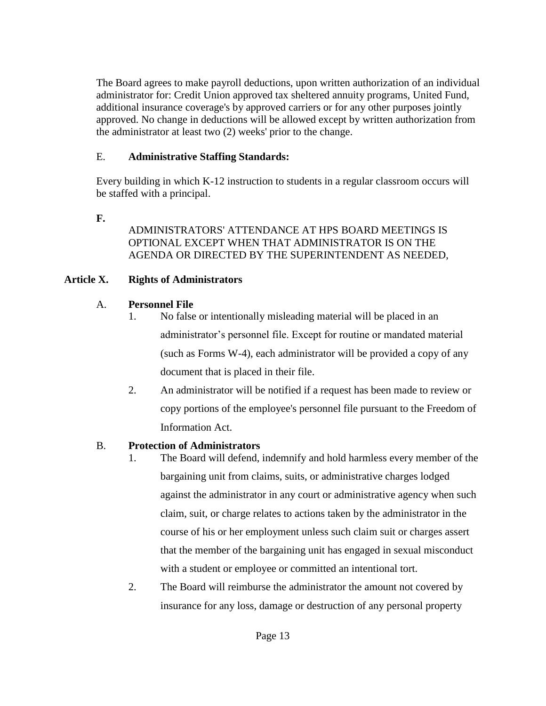The Board agrees to make payroll deductions, upon written authorization of an individual administrator for: Credit Union approved tax sheltered annuity programs, United Fund, additional insurance coverage's by approved carriers or for any other purposes jointly approved. No change in deductions will be allowed except by written authorization from the administrator at least two (2) weeks' prior to the change.

### E. **Administrative Staffing Standards:**

Every building in which K-12 instruction to students in a regular classroom occurs will be staffed with a principal.

**F.**

### ADMINISTRATORS' ATTENDANCE AT HPS BOARD MEETINGS IS OPTIONAL EXCEPT WHEN THAT ADMINISTRATOR IS ON THE AGENDA OR DIRECTED BY THE SUPERINTENDENT AS NEEDED,

# **Article X. Rights of Administrators**

# A. **Personnel File**

- 1. No false or intentionally misleading material will be placed in an administrator's personnel file. Except for routine or mandated material (such as Forms W-4), each administrator will be provided a copy of any document that is placed in their file.
- 2. An administrator will be notified if a request has been made to review or copy portions of the employee's personnel file pursuant to the Freedom of Information Act.

# B. **Protection of Administrators**

- 1. The Board will defend, indemnify and hold harmless every member of the bargaining unit from claims, suits, or administrative charges lodged against the administrator in any court or administrative agency when such claim, suit, or charge relates to actions taken by the administrator in the course of his or her employment unless such claim suit or charges assert that the member of the bargaining unit has engaged in sexual misconduct with a student or employee or committed an intentional tort.
- 2. The Board will reimburse the administrator the amount not covered by insurance for any loss, damage or destruction of any personal property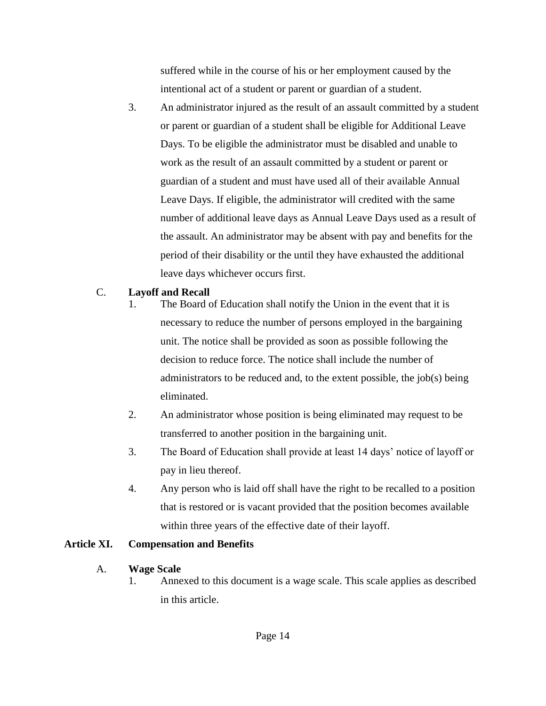suffered while in the course of his or her employment caused by the intentional act of a student or parent or guardian of a student.

3. An administrator injured as the result of an assault committed by a student or parent or guardian of a student shall be eligible for Additional Leave Days. To be eligible the administrator must be disabled and unable to work as the result of an assault committed by a student or parent or guardian of a student and must have used all of their available Annual Leave Days. If eligible, the administrator will credited with the same number of additional leave days as Annual Leave Days used as a result of the assault. An administrator may be absent with pay and benefits for the period of their disability or the until they have exhausted the additional leave days whichever occurs first.

#### C. **Layoff and Recall**

- 1. The Board of Education shall notify the Union in the event that it is necessary to reduce the number of persons employed in the bargaining unit. The notice shall be provided as soon as possible following the decision to reduce force. The notice shall include the number of administrators to be reduced and, to the extent possible, the job(s) being eliminated.
- 2. An administrator whose position is being eliminated may request to be transferred to another position in the bargaining unit.
- 3. The Board of Education shall provide at least 14 days' notice of layoff or pay in lieu thereof.
- 4. Any person who is laid off shall have the right to be recalled to a position that is restored or is vacant provided that the position becomes available within three years of the effective date of their layoff.

#### **Article XI. Compensation and Benefits**

#### A. **Wage Scale**

1. Annexed to this document is a wage scale. This scale applies as described in this article.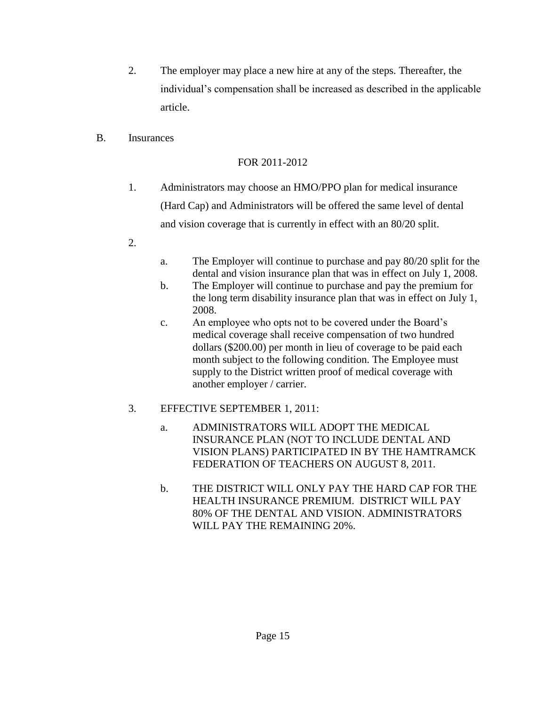- 2. The employer may place a new hire at any of the steps. Thereafter, the individual's compensation shall be increased as described in the applicable article.
- B. Insurances

### FOR 2011-2012

- 1. Administrators may choose an HMO/PPO plan for medical insurance (Hard Cap) and Administrators will be offered the same level of dental and vision coverage that is currently in effect with an 80/20 split.
- 2.
- a. The Employer will continue to purchase and pay 80/20 split for the dental and vision insurance plan that was in effect on July 1, 2008.
- b. The Employer will continue to purchase and pay the premium for the long term disability insurance plan that was in effect on July 1, 2008.
- c. An employee who opts not to be covered under the Board's medical coverage shall receive compensation of two hundred dollars (\$200.00) per month in lieu of coverage to be paid each month subject to the following condition. The Employee must supply to the District written proof of medical coverage with another employer / carrier.

## 3. EFFECTIVE SEPTEMBER 1, 2011:

- a. ADMINISTRATORS WILL ADOPT THE MEDICAL INSURANCE PLAN (NOT TO INCLUDE DENTAL AND VISION PLANS) PARTICIPATED IN BY THE HAMTRAMCK FEDERATION OF TEACHERS ON AUGUST 8, 2011.
- b. THE DISTRICT WILL ONLY PAY THE HARD CAP FOR THE HEALTH INSURANCE PREMIUM. DISTRICT WILL PAY 80% OF THE DENTAL AND VISION. ADMINISTRATORS WILL PAY THE REMAINING 20%.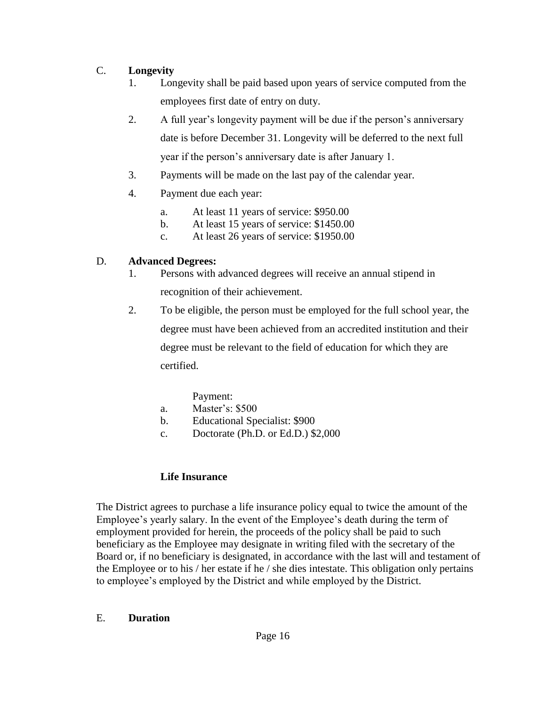### C. **Longevity**

- 1. Longevity shall be paid based upon years of service computed from the employees first date of entry on duty.
- 2. A full year's longevity payment will be due if the person's anniversary date is before December 31. Longevity will be deferred to the next full year if the person's anniversary date is after January 1.
- 3. Payments will be made on the last pay of the calendar year.
- 4. Payment due each year:
	- a. At least 11 years of service: \$950.00
	- b. At least 15 years of service: \$1450.00
	- c. At least 26 years of service: \$1950.00

## D. **Advanced Degrees:**

- 1. Persons with advanced degrees will receive an annual stipend in recognition of their achievement.
- 2. To be eligible, the person must be employed for the full school year, the degree must have been achieved from an accredited institution and their degree must be relevant to the field of education for which they are certified.

## Payment:

- a. Master's: \$500
- b. Educational Specialist: \$900
- c. Doctorate (Ph.D. or Ed.D.) \$2,000

## **Life Insurance**

The District agrees to purchase a life insurance policy equal to twice the amount of the Employee's yearly salary. In the event of the Employee's death during the term of employment provided for herein, the proceeds of the policy shall be paid to such beneficiary as the Employee may designate in writing filed with the secretary of the Board or, if no beneficiary is designated, in accordance with the last will and testament of the Employee or to his / her estate if he / she dies intestate. This obligation only pertains to employee's employed by the District and while employed by the District.

#### E. **Duration**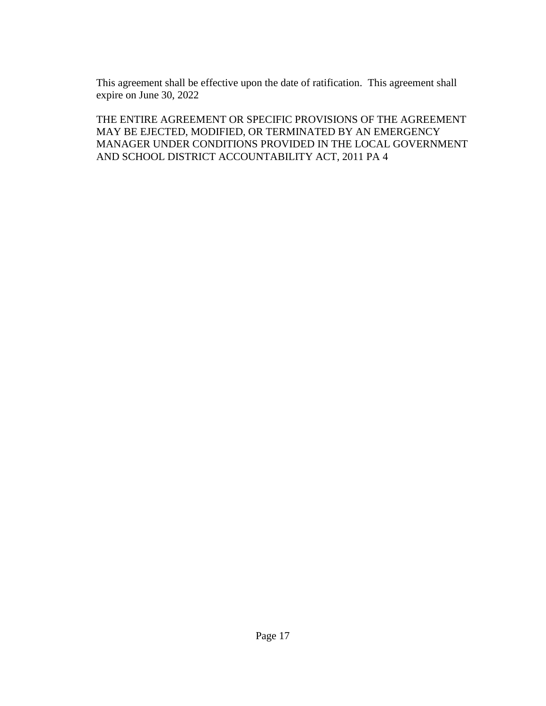This agreement shall be effective upon the date of ratification. This agreement shall expire on June 30, 2022

THE ENTIRE AGREEMENT OR SPECIFIC PROVISIONS OF THE AGREEMENT MAY BE EJECTED, MODIFIED, OR TERMINATED BY AN EMERGENCY MANAGER UNDER CONDITIONS PROVIDED IN THE LOCAL GOVERNMENT AND SCHOOL DISTRICT ACCOUNTABILITY ACT, 2011 PA 4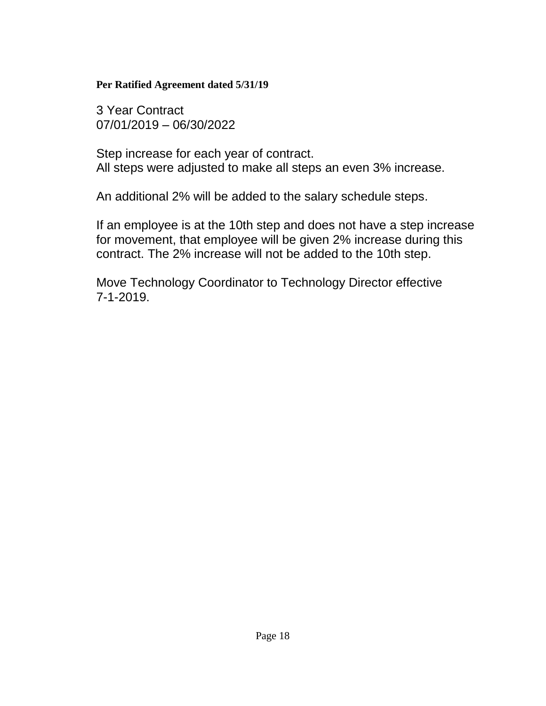### **Per Ratified Agreement dated 5/31/19**

3 Year Contract 07/01/2019 – 06/30/2022

Step increase for each year of contract. All steps were adjusted to make all steps an even 3% increase.

An additional 2% will be added to the salary schedule steps.

If an employee is at the 10th step and does not have a step increase for movement, that employee will be given 2% increase during this contract. The 2% increase will not be added to the 10th step.

Move Technology Coordinator to Technology Director effective 7-1-2019.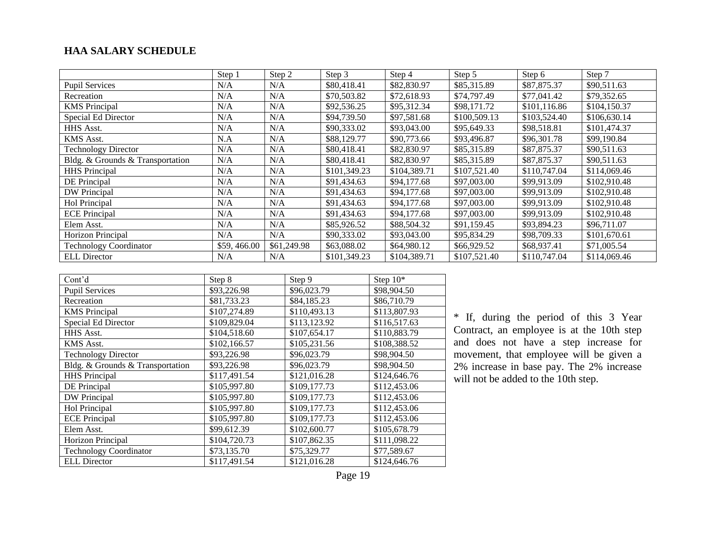#### **HAA SALARY SCHEDULE**

|                                  | Step 1      | Step 2      | Step 3       | Step 4       | Step 5       | Step 6       | Step 7       |
|----------------------------------|-------------|-------------|--------------|--------------|--------------|--------------|--------------|
| <b>Pupil Services</b>            | N/A         | N/A         | \$80,418.41  | \$82,830.97  | \$85,315.89  | \$87,875.37  | \$90,511.63  |
| Recreation                       | N/A         | N/A         | \$70,503.82  | \$72,618.93  | \$74,797.49  | \$77,041.42  | \$79,352.65  |
| <b>KMS</b> Principal             | N/A         | N/A         | \$92,536.25  | \$95,312.34  | \$98,171.72  | \$101,116.86 | \$104,150.37 |
| Special Ed Director              | N/A         | N/A         | \$94,739.50  | \$97,581.68  | \$100,509.13 | \$103,524.40 | \$106,630.14 |
| HHS Asst.                        | N/A         | N/A         | \$90,333.02  | \$93,043.00  | \$95,649.33  | \$98,518.81  | \$101,474.37 |
| KMS Asst.                        | N.A         | N/A         | \$88,129.77  | \$90,773.66  | \$93,496.87  | \$96,301.78  | \$99,190.84  |
| <b>Technology Director</b>       | N/A         | N/A         | \$80,418.41  | \$82,830.97  | \$85,315.89  | \$87,875.37  | \$90,511.63  |
| Bldg. & Grounds & Transportation | N/A         | N/A         | \$80,418.41  | \$82,830.97  | \$85,315.89  | \$87,875.37  | \$90,511.63  |
| <b>HHS</b> Principal             | N/A         | N/A         | \$101,349.23 | \$104,389.71 | \$107,521.40 | \$110,747.04 | \$114,069.46 |
| DE Principal                     | N/A         | N/A         | \$91,434.63  | \$94,177.68  | \$97,003.00  | \$99,913.09  | \$102,910.48 |
| DW Principal                     | N/A         | N/A         | \$91,434.63  | \$94,177.68  | \$97,003.00  | \$99,913.09  | \$102,910.48 |
| Hol Principal                    | N/A         | N/A         | \$91,434.63  | \$94,177.68  | \$97,003.00  | \$99,913.09  | \$102,910.48 |
| <b>ECE Principal</b>             | N/A         | N/A         | \$91,434.63  | \$94,177.68  | \$97,003.00  | \$99,913.09  | \$102,910.48 |
| Elem Asst.                       | N/A         | N/A         | \$85,926.52  | \$88,504.32  | \$91,159.45  | \$93,894.23  | \$96,711.07  |
| Horizon Principal                | N/A         | N/A         | \$90,333.02  | \$93,043.00  | \$95,834.29  | \$98,709.33  | \$101,670.61 |
| <b>Technology Coordinator</b>    | \$59,466.00 | \$61,249.98 | \$63,088.02  | \$64,980.12  | \$66,929.52  | \$68,937.41  | \$71,005.54  |
| <b>ELL</b> Director              | N/A         | N/A         | \$101,349.23 | \$104,389.71 | \$107,521.40 | \$110,747.04 | \$114,069.46 |

| Cont'd                           | Step 8       | Step 9       | Step $10*$   |
|----------------------------------|--------------|--------------|--------------|
| <b>Pupil Services</b>            | \$93,226.98  | \$96,023.79  | \$98,904.50  |
| Recreation                       | \$81,733.23  | \$84,185.23  | \$86,710.79  |
| <b>KMS</b> Principal             | \$107,274.89 | \$110,493.13 | \$113,807.93 |
| Special Ed Director              | \$109,829.04 | \$113,123.92 | \$116,517.63 |
| HHS Asst.                        | \$104,518.60 | \$107,654.17 | \$110,883.79 |
| <b>KMS</b> Asst.                 | \$102,166.57 | \$105,231.56 | \$108,388.52 |
| <b>Technology Director</b>       | \$93,226.98  | \$96,023.79  | \$98,904.50  |
| Bldg. & Grounds & Transportation | \$93,226.98  | \$96,023.79  | \$98,904.50  |
| <b>HHS</b> Principal             | \$117,491.54 | \$121,016.28 | \$124,646.76 |
| DE Principal                     | \$105,997.80 | \$109,177.73 | \$112,453.06 |
| DW Principal                     | \$105,997.80 | \$109,177.73 | \$112,453.06 |
| Hol Principal                    | \$105,997.80 | \$109,177.73 | \$112,453.06 |
| <b>ECE</b> Principal             | \$105,997.80 | \$109,177.73 | \$112,453.06 |
| Elem Asst.                       | \$99,612.39  | \$102,600.77 | \$105,678.79 |
| Horizon Principal                | \$104,720.73 | \$107,862.35 | \$111,098.22 |
| <b>Technology Coordinator</b>    | \$73,135.70  | \$75,329.77  | \$77,589.67  |
| <b>ELL</b> Director              | \$117,491.54 | \$121,016.28 | \$124,646.76 |

\* If, during the period of this 3 Year Contract, an employee is at the 10th step and does not have a step increase for movement, that employee will be given a 2% increase in base pay. The 2% increase will not be added to the 10th step.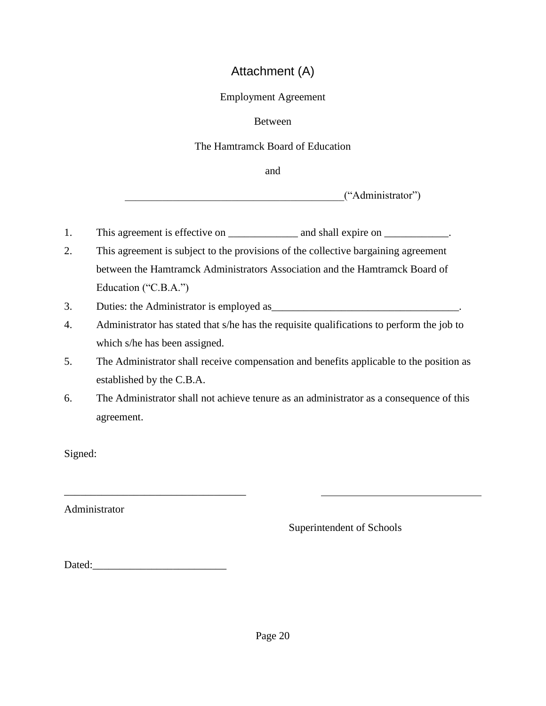# Attachment (A)

### Employment Agreement

## Between

## The Hamtramck Board of Education

and

 $("Administrator")$ 

- 1. This agreement is effective on \_\_\_\_\_\_\_\_\_\_\_\_\_ and shall expire on \_\_\_\_\_\_\_\_\_\_\_.
- 2. This agreement is subject to the provisions of the collective bargaining agreement between the Hamtramck Administrators Association and the Hamtramck Board of Education ("C.B.A.")
- 3. Duties: the Administrator is employed as\_\_\_\_\_\_\_\_\_\_\_\_\_\_\_\_\_\_\_\_\_\_\_\_\_\_\_\_\_\_\_\_\_\_\_.
- 4. Administrator has stated that s/he has the requisite qualifications to perform the job to which s/he has been assigned.
- 5. The Administrator shall receive compensation and benefits applicable to the position as established by the C.B.A.
- 6. The Administrator shall not achieve tenure as an administrator as a consequence of this agreement.

Signed:

Administrator

Superintendent of Schools

Dated:\_\_\_\_\_\_\_\_\_\_\_\_\_\_\_\_\_\_\_\_\_\_\_\_\_

\_\_\_\_\_\_\_\_\_\_\_\_\_\_\_\_\_\_\_\_\_\_\_\_\_\_\_\_\_\_\_\_\_\_